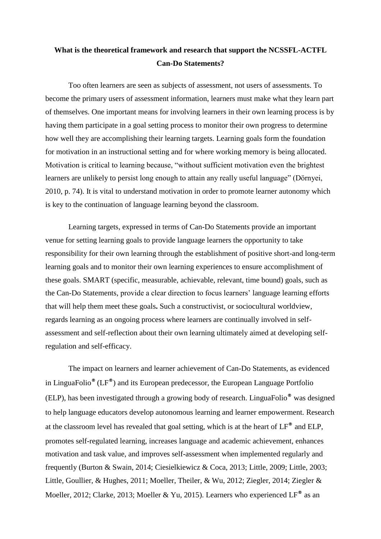## **What is the theoretical framework and research that support the NCSSFL-ACTFL Can-Do Statements?**

Too often learners are seen as subjects of assessment, not users of assessments. To become the primary users of assessment information, learners must make what they learn part of themselves. One important means for involving learners in their own learning process is by having them participate in a goal setting process to monitor their own progress to determine how well they are accomplishing their learning targets. Learning goals form the foundation for motivation in an instructional setting and for where working memory is being allocated. Motivation is critical to learning because, "without sufficient motivation even the brightest learners are unlikely to persist long enough to attain any really useful language" (Dörnyei, 2010, p. 74). It is vital to understand motivation in order to promote learner autonomy which is key to the continuation of language learning beyond the classroom.

Learning targets, expressed in terms of Can-Do Statements provide an important venue for setting learning goals to provide language learners the opportunity to take responsibility for their own learning through the establishment of positive short-and long-term learning goals and to monitor their own learning experiences to ensure accomplishment of these goals. SMART (specific, measurable, achievable, relevant, time bound) goals, such as the Can-Do Statements, provide a clear direction to focus learners' language learning efforts that will help them meet these goals**.** Such a constructivist, or sociocultural worldview, regards learning as an ongoing process where learners are continually involved in selfassessment and self-reflection about their own learning ultimately aimed at developing selfregulation and self-efficacy.

The impact on learners and learner achievement of Can-Do Statements, as evidenced in LinguaFolio**®** (LF**®**) and its European predecessor, the European Language Portfolio (ELP), has been investigated through a growing body of research. LinguaFolio**®** was designed to help language educators develop autonomous learning and learner empowerment. Research at the classroom level has revealed that goal setting, which is at the heart of LF**®** and ELP, promotes self-regulated learning, increases language and academic achievement, enhances motivation and task value, and improves self-assessment when implemented regularly and frequently (Burton & Swain, 2014; Ciesielkiewicz & Coca, 2013; Little, 2009; Little, 2003; Little, Goullier, & Hughes, 2011; Moeller, Theiler, & Wu, 2012; Ziegler, 2014; Ziegler & Moeller, 2012; Clarke, 2013; Moeller & Yu, 2015). Learners who experienced LF**®** as an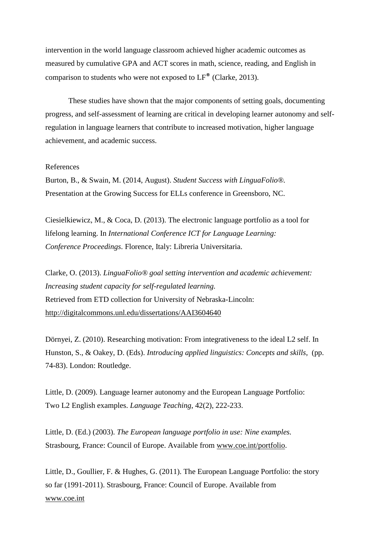intervention in the world language classroom achieved higher academic outcomes as measured by cumulative GPA and ACT scores in math, science, reading, and English in comparison to students who were not exposed to LF**®** (Clarke, 2013).

These studies have shown that the major components of setting goals, documenting progress, and self-assessment of learning are critical in developing learner autonomy and selfregulation in language learners that contribute to increased motivation, higher language achievement, and academic success.

## References

Burton, B., & Swain, M. (2014, August). *Student Success with LinguaFolio®.* Presentation at the Growing Success for ELLs conference in Greensboro, NC.

Ciesielkiewicz, M., & Coca, D. (2013). The electronic language portfolio as a tool for lifelong learning. In *International Conference ICT for Language Learning: Conference Proceedings*. Florence, Italy: Libreria Universitaria.

Clarke, O. (2013). *LinguaFolio® goal setting intervention and academic achievement: Increasing student capacity for self-regulated learning.*  Retrieved from ETD collection for University of Nebraska-Lincoln: [http://digitalcommons.unl.edu/dissertations/AAI3604640](https://www.dropbox.com/referrer_cleansing_redirect?hmac=arFnMl4AmascacU7dc0MmebtBLD0rYWtLwuXnvTuebw%3D&url=http%3A%2F%2Fdigitalcommons.unl.edu%2Fdissertations%2FAAI3604640%2F)

Dörnyei, Z. (2010). Researching motivation: From integrativeness to the ideal L2 self. In Hunston, S., & Oakey, D. (Eds). *Introducing applied linguistics: Concepts and skills*, (pp. 74-83). London: Routledge.

Little, D. (2009). Language learner autonomy and the European Language Portfolio: Two L2 English examples. *Language Teaching*, 42(2), 222-233.

Little, D. (Ed.) (2003). *The European language portfolio in use: Nine examples.* Strasbourg, France: Council of Europe. Available from [www.coe.int/portfolio.](https://www.dropbox.com/referrer_cleansing_redirect?hmac=MriAVJuaWkIBRB6aFxxE2DA8GZHqbnpvd3fbM9SEG%2Fg%3D&url=http%3A%2F%2Fwww.coe.int%2Fportfolio)

Little, D., Goullier, F. & Hughes, G. (2011). The European Language Portfolio: the story so far (1991-2011). Strasbourg, France: Council of Europe. Available from [www.coe.int](https://www.dropbox.com/referrer_cleansing_redirect?hmac=pURF0z2WqAlLUnNXLnkB1ZVmrEJx4Fw4pT7PFpyEJ%2Bk%3D&url=http%3A%2F%2Fwww.coe.int)